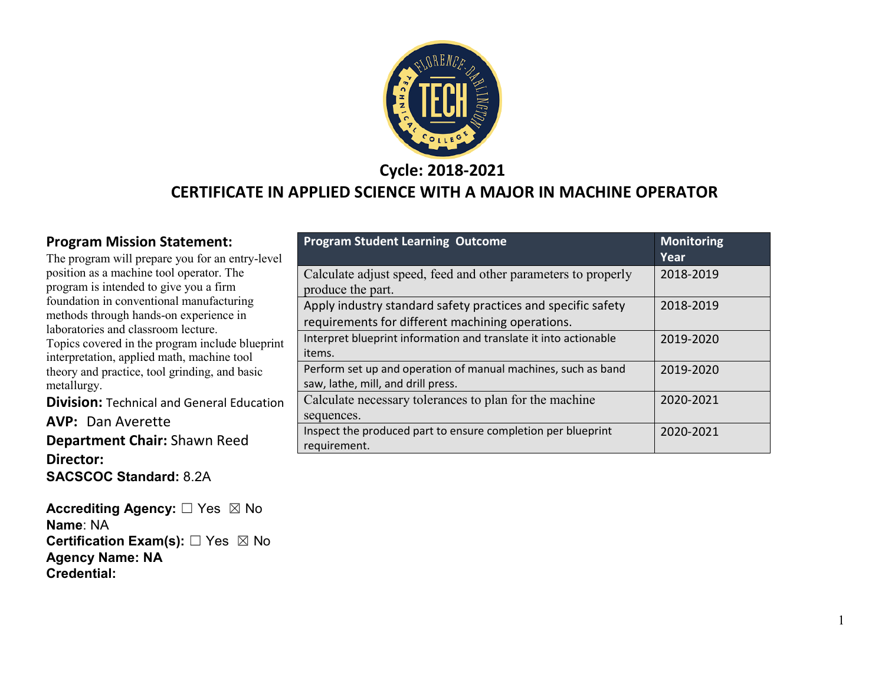

**Cycle: 2018-2021**

#### **CERTIFICATE IN APPLIED SCIENCE WITH A MAJOR IN MACHINE OPERATOR**

#### **Program Mission Statement:**

The program will prepare you for an entry-level position as a machine tool operator. The program is intended to give you a firm foundation in conventional manufacturing methods through hands-on experience in laboratories and classroom lecture. Topics covered in the program include blueprint interpretation, applied math, machine tool theory and practice, tool grinding, and basic metallurgy.

**Division:** Technical and General Education

**AVP:** Dan Averette

**Department Chair:** Shawn Reed **Director: SACSCOC Standard:** 8.2A

**Accrediting Agency:** ☐ Yes ☒ No **Name**: NA **Certification Exam(s):** □ Yes ⊠ No **Agency Name: NA Credential:**

| <b>Program Student Learning Outcome</b>                                            | <b>Monitoring</b><br><b>Year</b> |
|------------------------------------------------------------------------------------|----------------------------------|
| Calculate adjust speed, feed and other parameters to properly<br>produce the part. | 2018-2019                        |
| Apply industry standard safety practices and specific safety                       | 2018-2019                        |
| requirements for different machining operations.                                   |                                  |
| Interpret blueprint information and translate it into actionable                   | 2019-2020                        |
| items.                                                                             |                                  |
| Perform set up and operation of manual machines, such as band                      | 2019-2020                        |
| saw, lathe, mill, and drill press.                                                 |                                  |
| Calculate necessary tolerances to plan for the machine                             | 2020-2021                        |
| sequences.                                                                         |                                  |
| Inspect the produced part to ensure completion per blueprint                       | 2020-2021                        |
| requirement.                                                                       |                                  |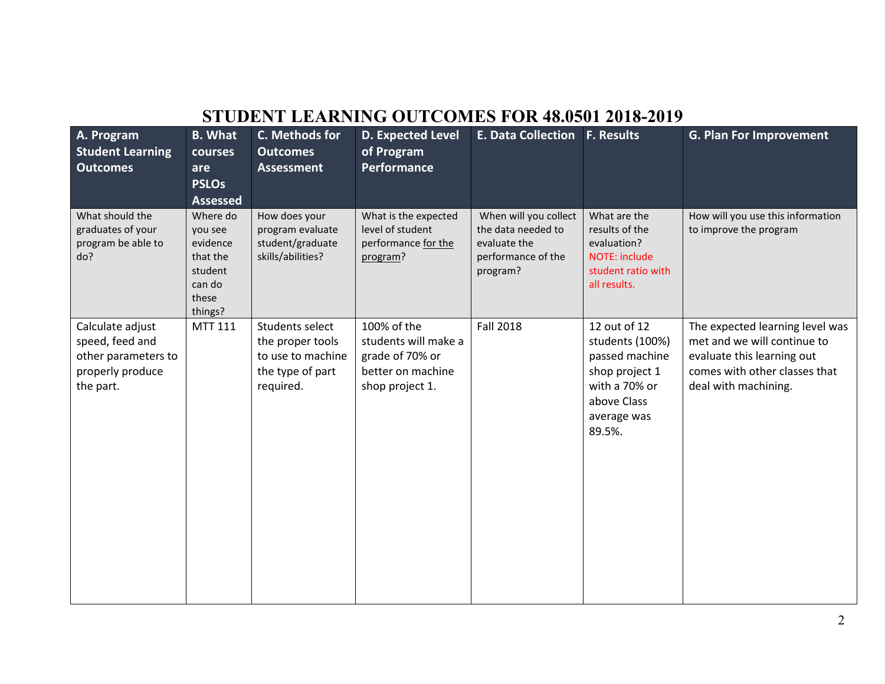### **STUDENT LEARNING OUTCOMES FOR 48.0501 2018-2019**

| A. Program<br><b>Student Learning</b><br><b>Outcomes</b>                                    | <b>B.</b> What<br>courses<br>are<br><b>PSLOs</b><br><b>Assessed</b>                  | C. Methods for<br><b>Outcomes</b><br><b>Assessment</b>                                    | <b>D. Expected Level</b><br>of Program<br><b>Performance</b>                                   | <b>E. Data Collection F. Results</b>                                                          |                                                                                                                              | <b>G. Plan For Improvement</b>                                                                                                                        |
|---------------------------------------------------------------------------------------------|--------------------------------------------------------------------------------------|-------------------------------------------------------------------------------------------|------------------------------------------------------------------------------------------------|-----------------------------------------------------------------------------------------------|------------------------------------------------------------------------------------------------------------------------------|-------------------------------------------------------------------------------------------------------------------------------------------------------|
| What should the<br>graduates of your<br>program be able to<br>do?                           | Where do<br>you see<br>evidence<br>that the<br>student<br>can do<br>these<br>things? | How does your<br>program evaluate<br>student/graduate<br>skills/abilities?                | What is the expected<br>level of student<br>performance for the<br>program?                    | When will you collect<br>the data needed to<br>evaluate the<br>performance of the<br>program? | What are the<br>results of the<br>evaluation?<br>NOTE: include<br>student ratio with<br>all results.                         | How will you use this information<br>to improve the program                                                                                           |
| Calculate adjust<br>speed, feed and<br>other parameters to<br>properly produce<br>the part. | MTT 111                                                                              | Students select<br>the proper tools<br>to use to machine<br>the type of part<br>required. | 100% of the<br>students will make a<br>grade of 70% or<br>better on machine<br>shop project 1. | <b>Fall 2018</b>                                                                              | 12 out of 12<br>students (100%)<br>passed machine<br>shop project 1<br>with a 70% or<br>above Class<br>average was<br>89.5%. | The expected learning level was<br>met and we will continue to<br>evaluate this learning out<br>comes with other classes that<br>deal with machining. |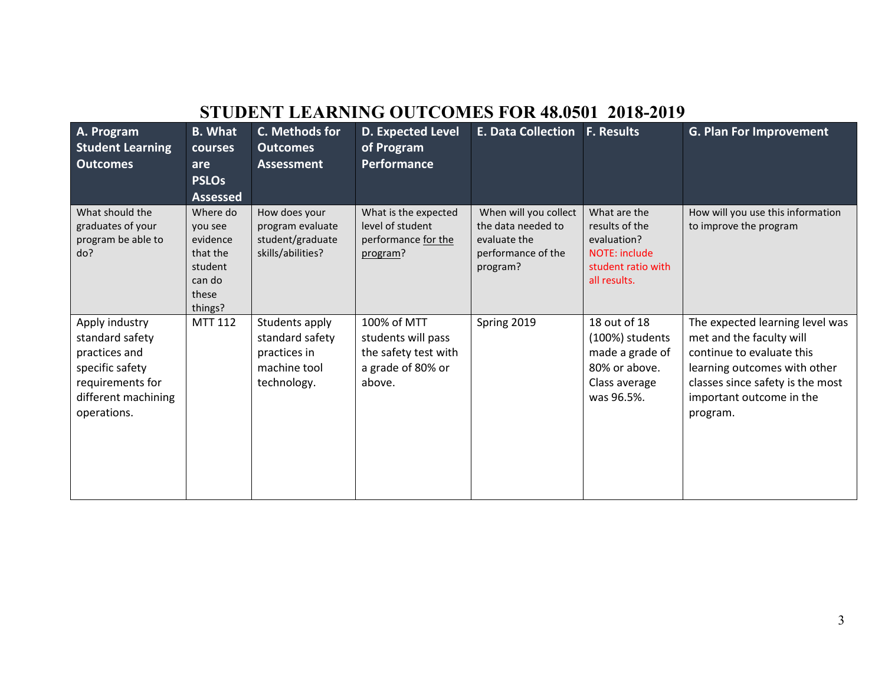### **STUDENT LEARNING OUTCOMES FOR 48.0501 2018-2019**

| A. Program<br><b>Student Learning</b><br><b>Outcomes</b>                                                                        | <b>B.</b> What<br><b>courses</b><br>are<br><b>PSLOs</b><br><b>Assessed</b>           | C. Methods for<br><b>Outcomes</b><br><b>Assessment</b>                           | D. Expected Level<br>of Program<br>Performance                                           | <b>E. Data Collection</b>                                                                     | <b>F. Results</b>                                                                                    | <b>G. Plan For Improvement</b>                                                                                                                                                                       |
|---------------------------------------------------------------------------------------------------------------------------------|--------------------------------------------------------------------------------------|----------------------------------------------------------------------------------|------------------------------------------------------------------------------------------|-----------------------------------------------------------------------------------------------|------------------------------------------------------------------------------------------------------|------------------------------------------------------------------------------------------------------------------------------------------------------------------------------------------------------|
| What should the<br>graduates of your<br>program be able to<br>do?                                                               | Where do<br>you see<br>evidence<br>that the<br>student<br>can do<br>these<br>things? | How does your<br>program evaluate<br>student/graduate<br>skills/abilities?       | What is the expected<br>level of student<br>performance for the<br>program?              | When will you collect<br>the data needed to<br>evaluate the<br>performance of the<br>program? | What are the<br>results of the<br>evaluation?<br>NOTE: include<br>student ratio with<br>all results. | How will you use this information<br>to improve the program                                                                                                                                          |
| Apply industry<br>standard safety<br>practices and<br>specific safety<br>requirements for<br>different machining<br>operations. | <b>MTT 112</b>                                                                       | Students apply<br>standard safety<br>practices in<br>machine tool<br>technology. | 100% of MTT<br>students will pass<br>the safety test with<br>a grade of 80% or<br>above. | Spring 2019                                                                                   | 18 out of 18<br>(100%) students<br>made a grade of<br>80% or above.<br>Class average<br>was 96.5%.   | The expected learning level was<br>met and the faculty will<br>continue to evaluate this<br>learning outcomes with other<br>classes since safety is the most<br>important outcome in the<br>program. |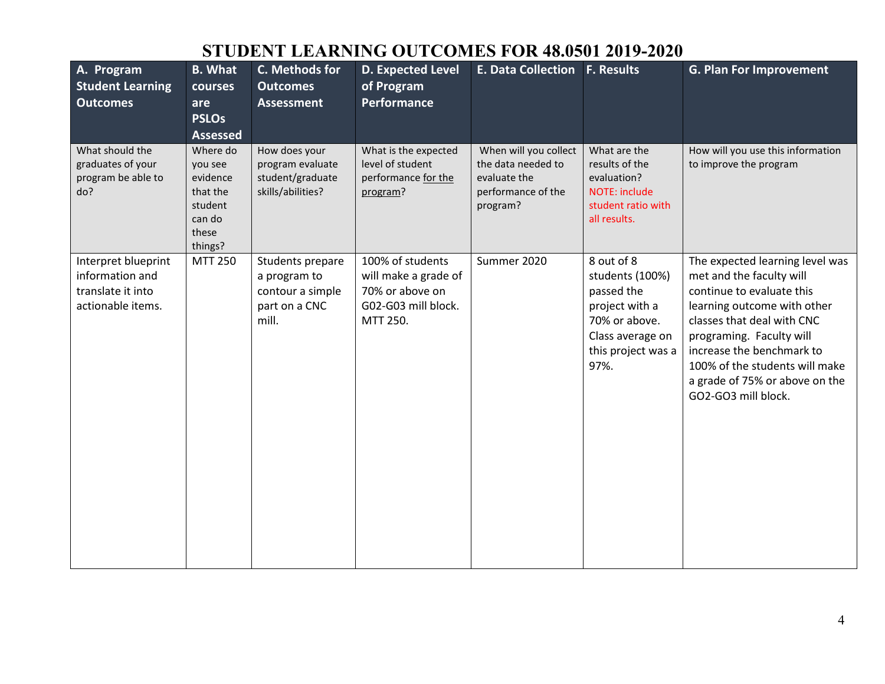# **STUDENT LEARNING OUTCOMES FOR 48.0501 2019-2020**

| A. Program<br><b>Student Learning</b><br><b>Outcomes</b>                         | <b>B.</b> What<br>courses<br>are<br><b>PSLOs</b><br><b>Assessed</b>                  | C. Methods for<br><b>Outcomes</b><br><b>Assessment</b>                         | <b>D. Expected Level</b><br>of Program<br><b>Performance</b>                                   | E. Data Collection F. Results                                                                 |                                                                                                                                  | <b>G. Plan For Improvement</b>                                                                                                                                                                                                                                                                            |
|----------------------------------------------------------------------------------|--------------------------------------------------------------------------------------|--------------------------------------------------------------------------------|------------------------------------------------------------------------------------------------|-----------------------------------------------------------------------------------------------|----------------------------------------------------------------------------------------------------------------------------------|-----------------------------------------------------------------------------------------------------------------------------------------------------------------------------------------------------------------------------------------------------------------------------------------------------------|
| What should the<br>graduates of your<br>program be able to<br>do?                | Where do<br>you see<br>evidence<br>that the<br>student<br>can do<br>these<br>things? | How does your<br>program evaluate<br>student/graduate<br>skills/abilities?     | What is the expected<br>level of student<br>performance for the<br>program?                    | When will you collect<br>the data needed to<br>evaluate the<br>performance of the<br>program? | What are the<br>results of the<br>evaluation?<br>NOTE: include<br>student ratio with<br>all results.                             | How will you use this information<br>to improve the program                                                                                                                                                                                                                                               |
| Interpret blueprint<br>information and<br>translate it into<br>actionable items. | <b>MTT 250</b>                                                                       | Students prepare<br>a program to<br>contour a simple<br>part on a CNC<br>mill. | 100% of students<br>will make a grade of<br>70% or above on<br>G02-G03 mill block.<br>MTT 250. | Summer 2020                                                                                   | 8 out of 8<br>students (100%)<br>passed the<br>project with a<br>70% or above.<br>Class average on<br>this project was a<br>97%. | The expected learning level was<br>met and the faculty will<br>continue to evaluate this<br>learning outcome with other<br>classes that deal with CNC<br>programing. Faculty will<br>increase the benchmark to<br>100% of the students will make<br>a grade of 75% or above on the<br>GO2-GO3 mill block. |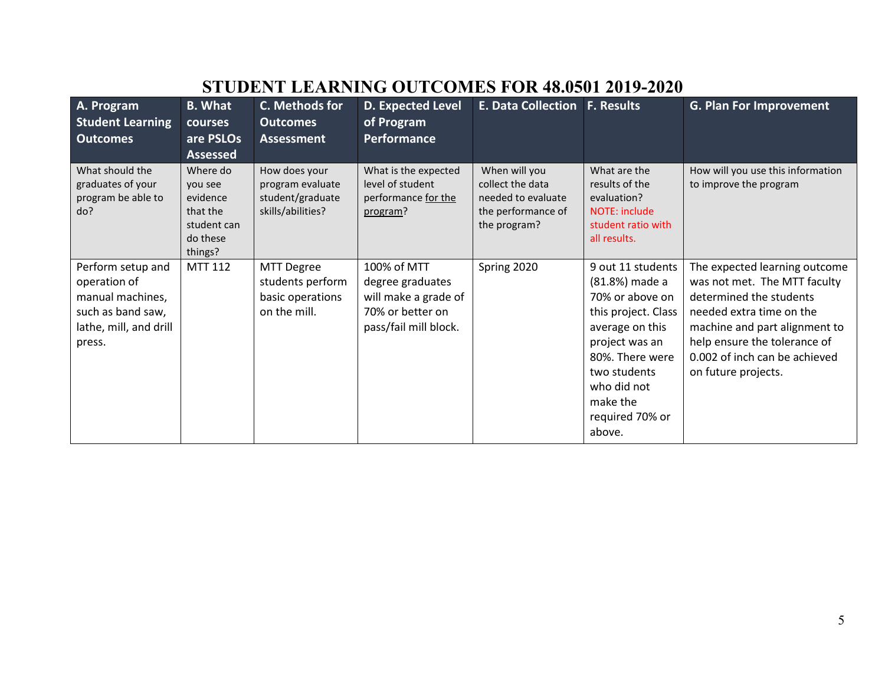|                                                                                                                | от орын пынгин<br>OIN IOIOJOI EUIZ EUEU                                           |                                                                            |                                                                                                      |                                                                                               |                                                                                                                                                                                                               |                                                                                                                                                                                                                                               |  |  |  |
|----------------------------------------------------------------------------------------------------------------|-----------------------------------------------------------------------------------|----------------------------------------------------------------------------|------------------------------------------------------------------------------------------------------|-----------------------------------------------------------------------------------------------|---------------------------------------------------------------------------------------------------------------------------------------------------------------------------------------------------------------|-----------------------------------------------------------------------------------------------------------------------------------------------------------------------------------------------------------------------------------------------|--|--|--|
| A. Program                                                                                                     | <b>B.</b> What                                                                    | C. Methods for                                                             | <b>D. Expected Level</b>                                                                             | <b>E. Data Collection F. Results</b>                                                          |                                                                                                                                                                                                               | <b>G. Plan For Improvement</b>                                                                                                                                                                                                                |  |  |  |
| <b>Student Learning</b>                                                                                        | courses                                                                           | <b>Outcomes</b>                                                            | of Program                                                                                           |                                                                                               |                                                                                                                                                                                                               |                                                                                                                                                                                                                                               |  |  |  |
| <b>Outcomes</b>                                                                                                | are PSLOs                                                                         | <b>Assessment</b>                                                          | <b>Performance</b>                                                                                   |                                                                                               |                                                                                                                                                                                                               |                                                                                                                                                                                                                                               |  |  |  |
|                                                                                                                | <b>Assessed</b>                                                                   |                                                                            |                                                                                                      |                                                                                               |                                                                                                                                                                                                               |                                                                                                                                                                                                                                               |  |  |  |
| What should the<br>graduates of your<br>program be able to<br>do?                                              | Where do<br>you see<br>evidence<br>that the<br>student can<br>do these<br>things? | How does your<br>program evaluate<br>student/graduate<br>skills/abilities? | What is the expected<br>level of student<br>performance for the<br>program?                          | When will you<br>collect the data<br>needed to evaluate<br>the performance of<br>the program? | What are the<br>results of the<br>evaluation?<br><b>NOTE: include</b><br>student ratio with<br>all results.                                                                                                   | How will you use this information<br>to improve the program                                                                                                                                                                                   |  |  |  |
| Perform setup and<br>operation of<br>manual machines,<br>such as band saw,<br>lathe, mill, and drill<br>press. | MTT 112                                                                           | <b>MTT Degree</b><br>students perform<br>basic operations<br>on the mill.  | 100% of MTT<br>degree graduates<br>will make a grade of<br>70% or better on<br>pass/fail mill block. | Spring 2020                                                                                   | 9 out 11 students<br>(81.8%) made a<br>70% or above on<br>this project. Class<br>average on this<br>project was an<br>80%. There were<br>two students<br>who did not<br>make the<br>required 70% or<br>above. | The expected learning outcome<br>was not met. The MTT faculty<br>determined the students<br>needed extra time on the<br>machine and part alignment to<br>help ensure the tolerance of<br>0.002 of inch can be achieved<br>on future projects. |  |  |  |

### **STUDENT LEARNING OUTCOMES FOR 48.0501 2019-2020**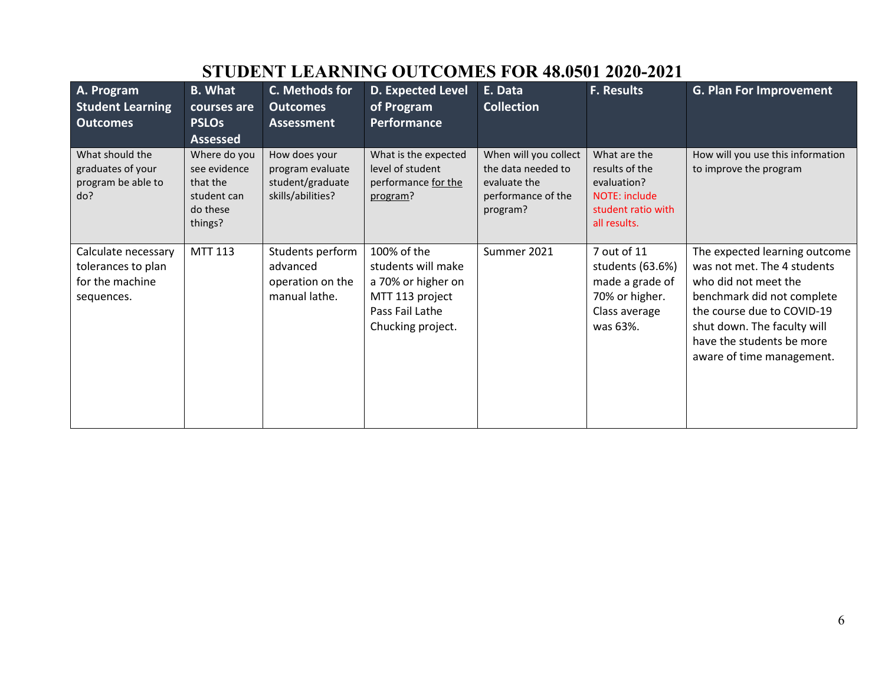| A. Program                                                                 | <b>B.</b> What                                                                 | C. Methods for                                                             | D. Expected Level                                                                                                  | E. Data                                                                                       | <b>F. Results</b>                                                                                    | <b>G. Plan For Improvement</b>                                                                                                                                                                                                            |
|----------------------------------------------------------------------------|--------------------------------------------------------------------------------|----------------------------------------------------------------------------|--------------------------------------------------------------------------------------------------------------------|-----------------------------------------------------------------------------------------------|------------------------------------------------------------------------------------------------------|-------------------------------------------------------------------------------------------------------------------------------------------------------------------------------------------------------------------------------------------|
| <b>Student Learning</b>                                                    | courses are                                                                    | <b>Outcomes</b>                                                            | of Program                                                                                                         | <b>Collection</b>                                                                             |                                                                                                      |                                                                                                                                                                                                                                           |
| <b>Outcomes</b>                                                            | <b>PSLOs</b>                                                                   | <b>Assessment</b>                                                          | Performance                                                                                                        |                                                                                               |                                                                                                      |                                                                                                                                                                                                                                           |
|                                                                            | <b>Assessed</b>                                                                |                                                                            |                                                                                                                    |                                                                                               |                                                                                                      |                                                                                                                                                                                                                                           |
| What should the<br>graduates of your<br>program be able to<br>do?          | Where do you<br>see evidence<br>that the<br>student can<br>do these<br>things? | How does your<br>program evaluate<br>student/graduate<br>skills/abilities? | What is the expected<br>level of student<br>performance for the<br>program?                                        | When will you collect<br>the data needed to<br>evaluate the<br>performance of the<br>program? | What are the<br>results of the<br>evaluation?<br>NOTE: include<br>student ratio with<br>all results. | How will you use this information<br>to improve the program                                                                                                                                                                               |
| Calculate necessary<br>tolerances to plan<br>for the machine<br>sequences. | MTT 113                                                                        | Students perform<br>advanced<br>operation on the<br>manual lathe.          | 100% of the<br>students will make<br>a 70% or higher on<br>MTT 113 project<br>Pass Fail Lathe<br>Chucking project. | Summer 2021                                                                                   | 7 out of 11<br>students (63.6%)<br>made a grade of<br>70% or higher.<br>Class average<br>was 63%.    | The expected learning outcome<br>was not met. The 4 students<br>who did not meet the<br>benchmark did not complete<br>the course due to COVID-19<br>shut down. The faculty will<br>have the students be more<br>aware of time management. |

# **STUDENT LEARNING OUTCOMES FOR 48.0501 2020-2021**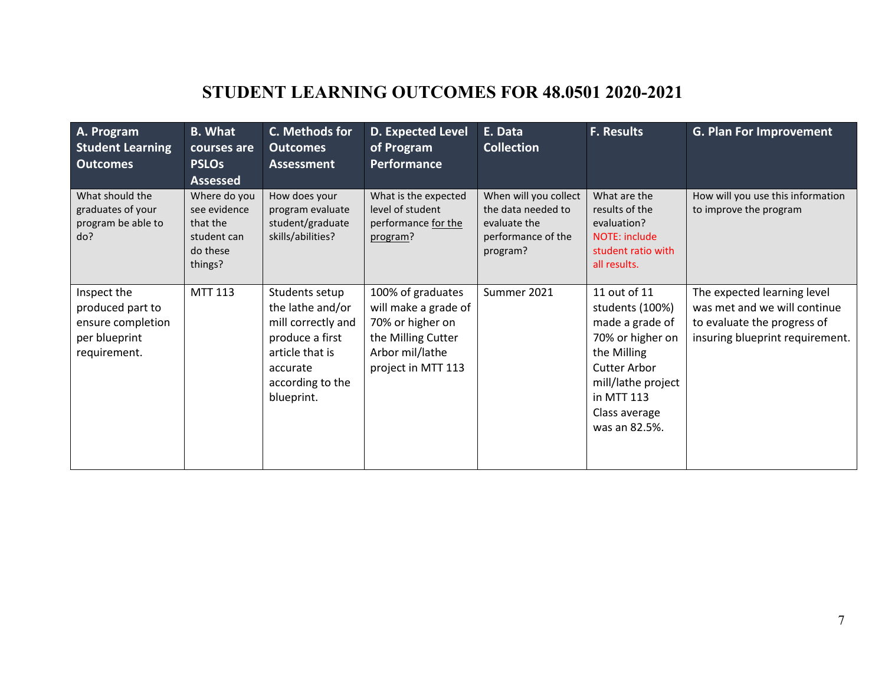# **STUDENT LEARNING OUTCOMES FOR 48.0501 2020-2021**

| A. Program<br><b>Student Learning</b><br><b>Outcomes</b>                              | <b>B.</b> What<br>courses are<br><b>PSLOs</b><br><b>Assessed</b>               | C. Methods for<br><b>Outcomes</b><br><b>Assessment</b>                                                                                       | D. Expected Level<br>of Program<br><b>Performance</b>                                                                        | E. Data<br><b>Collection</b>                                                                  | <b>F. Results</b>                                                                                                                                                                  | <b>G. Plan For Improvement</b>                                                                                                |
|---------------------------------------------------------------------------------------|--------------------------------------------------------------------------------|----------------------------------------------------------------------------------------------------------------------------------------------|------------------------------------------------------------------------------------------------------------------------------|-----------------------------------------------------------------------------------------------|------------------------------------------------------------------------------------------------------------------------------------------------------------------------------------|-------------------------------------------------------------------------------------------------------------------------------|
| What should the<br>graduates of your<br>program be able to<br>do?                     | Where do you<br>see evidence<br>that the<br>student can<br>do these<br>things? | How does your<br>program evaluate<br>student/graduate<br>skills/abilities?                                                                   | What is the expected<br>level of student<br>performance for the<br>program?                                                  | When will you collect<br>the data needed to<br>evaluate the<br>performance of the<br>program? | What are the<br>results of the<br>evaluation?<br>NOTE: include<br>student ratio with<br>all results.                                                                               | How will you use this information<br>to improve the program                                                                   |
| Inspect the<br>produced part to<br>ensure completion<br>per blueprint<br>requirement. | <b>MTT 113</b>                                                                 | Students setup<br>the lathe and/or<br>mill correctly and<br>produce a first<br>article that is<br>accurate<br>according to the<br>blueprint. | 100% of graduates<br>will make a grade of<br>70% or higher on<br>the Milling Cutter<br>Arbor mil/lathe<br>project in MTT 113 | Summer 2021                                                                                   | 11 out of 11<br>students (100%)<br>made a grade of<br>70% or higher on<br>the Milling<br><b>Cutter Arbor</b><br>mill/lathe project<br>in MTT 113<br>Class average<br>was an 82.5%. | The expected learning level<br>was met and we will continue<br>to evaluate the progress of<br>insuring blueprint requirement. |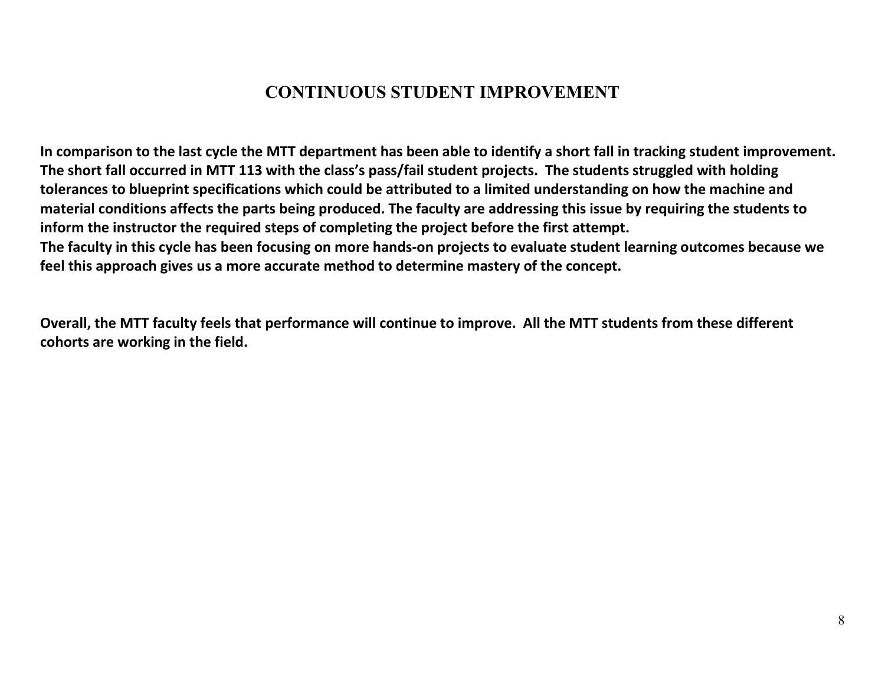#### **CONTINUOUS STUDENT IMPROVEMENT**

**In comparison to the last cycle the MTT department has been able to identify a short fall in tracking student improvement. The short fall occurred in MTT 113 with the class's pass/fail student projects. The students struggled with holding tolerances to blueprint specifications which could be attributed to a limited understanding on how the machine and material conditions affects the parts being produced. The faculty are addressing this issue by requiring the students to inform the instructor the required steps of completing the project before the first attempt. The faculty in this cycle has been focusing on more hands-on projects to evaluate student learning outcomes because we feel this approach gives us a more accurate method to determine mastery of the concept.** 

**Overall, the MTT faculty feels that performance will continue to improve. All the MTT students from these different cohorts are working in the field.**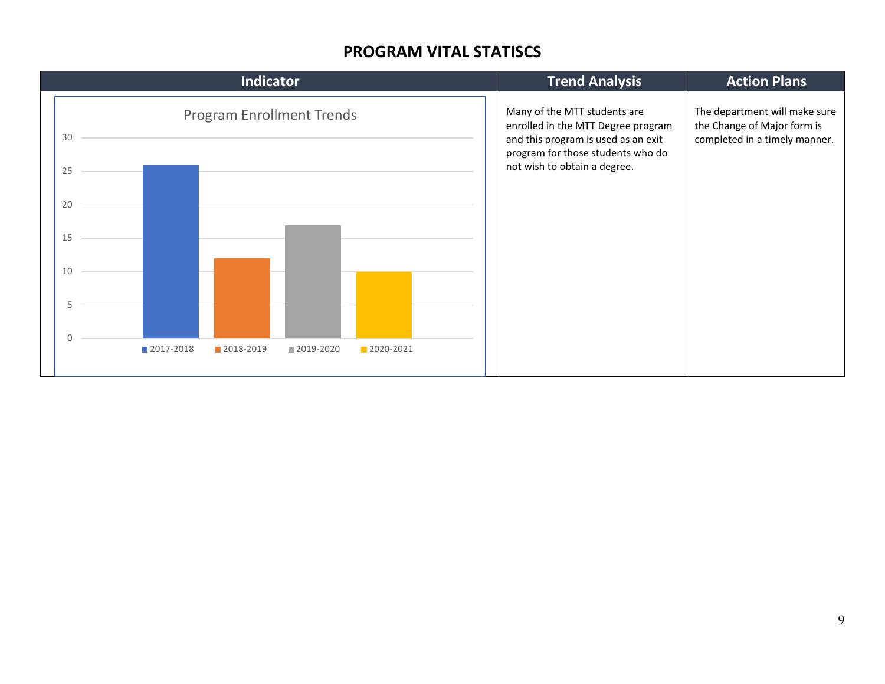#### **PROGRAM VITAL STATISCS**

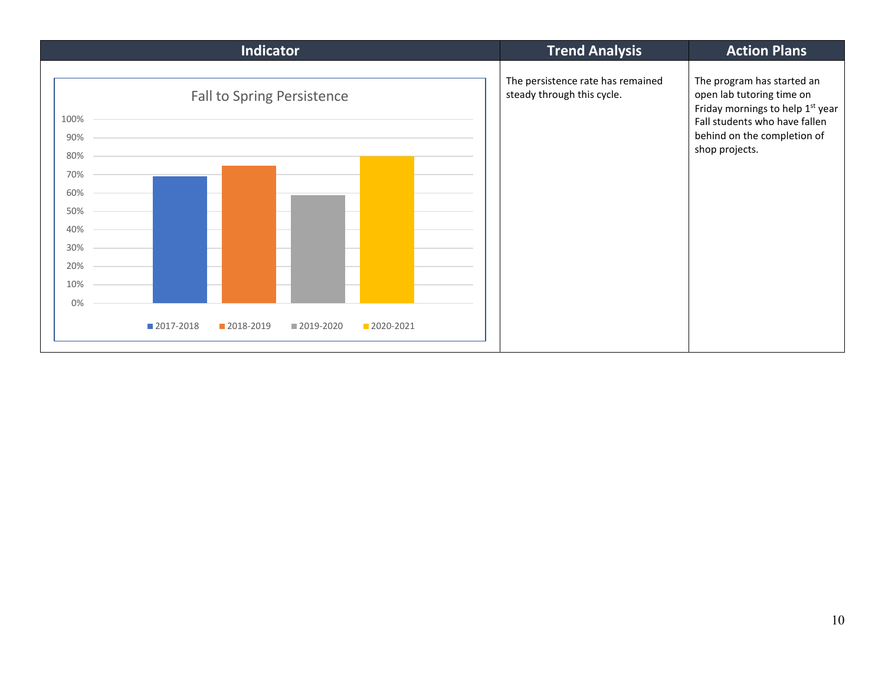| <b>Indicator</b>                                             |  |             |                                   |           |           |  | <b>Trend Analysis</b>                                           | <b>Action Plans</b>                                                                                                                                                           |
|--------------------------------------------------------------|--|-------------|-----------------------------------|-----------|-----------|--|-----------------------------------------------------------------|-------------------------------------------------------------------------------------------------------------------------------------------------------------------------------|
| 100%<br>90%<br>80%<br>70%<br>60%<br>50%<br>40%<br>30%<br>20% |  |             | <b>Fall to Spring Persistence</b> |           |           |  | The persistence rate has remained<br>steady through this cycle. | The program has started an<br>open lab tutoring time on<br>Friday mornings to help 1st year<br>Fall students who have fallen<br>behind on the completion of<br>shop projects. |
| 10%                                                          |  |             |                                   |           |           |  |                                                                 |                                                                                                                                                                               |
| 0%                                                           |  |             |                                   |           |           |  |                                                                 |                                                                                                                                                                               |
|                                                              |  | ■ 2017-2018 | 2018-2019                         | 2019-2020 | 2020-2021 |  |                                                                 |                                                                                                                                                                               |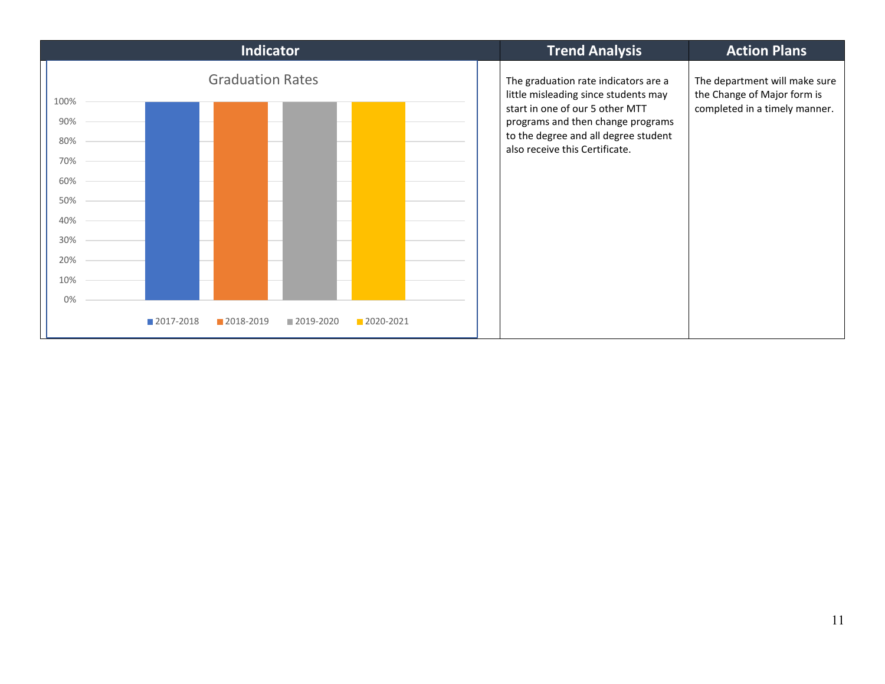![](_page_10_Figure_0.jpeg)